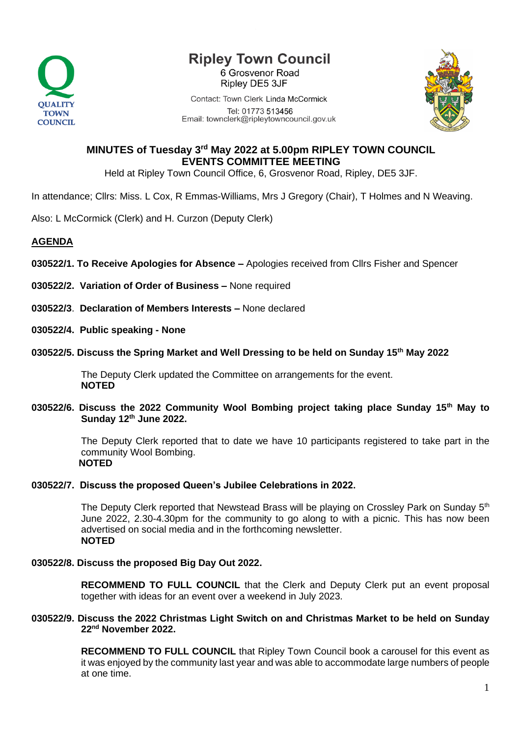

# **Ripley Town Council**

6 Grosvenor Road Ripley DE5 3JF

Contact: Town Clerk Linda McCormick Tel: 01773 513456 Email: townclerk@ripleytowncouncil.gov.uk



## **MINUTES of Tuesday 3rd May 2022 at 5.00pm RIPLEY TOWN COUNCIL EVENTS COMMITTEE MEETING**

Held at Ripley Town Council Office, 6, Grosvenor Road, Ripley, DE5 3JF.

In attendance; Cllrs: Miss. L Cox, R Emmas-Williams, Mrs J Gregory (Chair), T Holmes and N Weaving.

Also: L McCormick (Clerk) and H. Curzon (Deputy Clerk)

### **AGENDA**

- **030522/1. To Receive Apologies for Absence –** Apologies received from Cllrs Fisher and Spencer
- **030522/2. Variation of Order of Business –** None required

**030522/3**. **Declaration of Members Interests –** None declared

**030522/4. Public speaking - None**

#### **030522/5. Discuss the Spring Market and Well Dressing to be held on Sunday 15th May 2022**

The Deputy Clerk updated the Committee on arrangements for the event. **NOTED**

#### **030522/6. Discuss the 2022 Community Wool Bombing project taking place Sunday 15th May to Sunday 12th June 2022.**

The Deputy Clerk reported that to date we have 10 participants registered to take part in the community Wool Bombing. **NOTED** 

#### **030522/7. Discuss the proposed Queen's Jubilee Celebrations in 2022.**

The Deputy Clerk reported that Newstead Brass will be playing on Crossley Park on Sunday  $5<sup>th</sup>$ June 2022, 2.30-4.30pm for the community to go along to with a picnic. This has now been advertised on social media and in the forthcoming newsletter. **NOTED**

#### **030522/8. Discuss the proposed Big Day Out 2022.**

**RECOMMEND TO FULL COUNCIL** that the Clerk and Deputy Clerk put an event proposal together with ideas for an event over a weekend in July 2023.

#### **030522/9. Discuss the 2022 Christmas Light Switch on and Christmas Market to be held on Sunday 22nd November 2022.**

**RECOMMEND TO FULL COUNCIL** that Ripley Town Council book a carousel for this event as it was enjoyed by the community last year and was able to accommodate large numbers of people at one time.